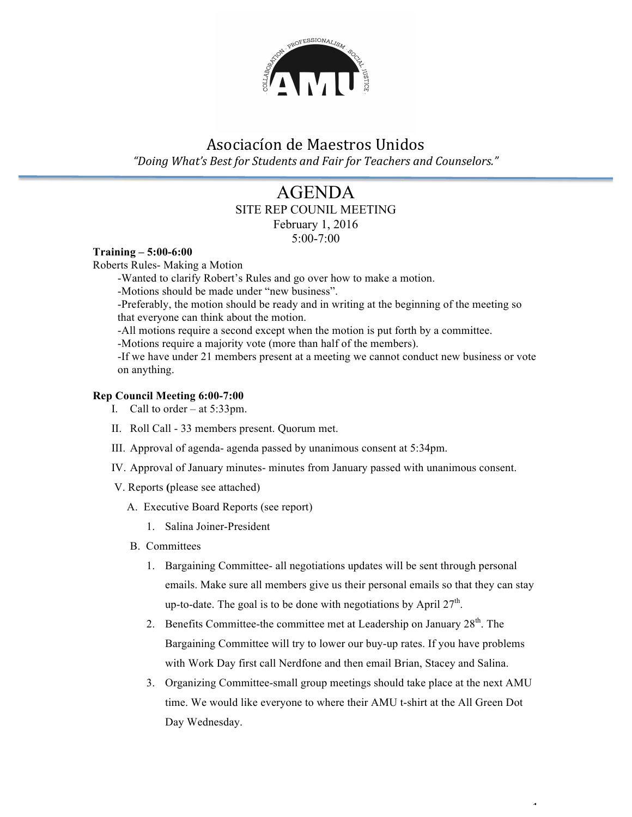

# Asociacíon de Maestros Unidos "Doing What's Best for Students and Fair for Teachers and Counselors."

### AGENDA SITE REP COUNIL MEETING February 1, 2016

5:00-7:00

#### **Training – 5:00-6:00**

Roberts Rules- Making a Motion

-Wanted to clarify Robert's Rules and go over how to make a motion.

-Motions should be made under "new business".

-Preferably, the motion should be ready and in writing at the beginning of the meeting so that everyone can think about the motion.

-All motions require a second except when the motion is put forth by a committee.

-Motions require a majority vote (more than half of the members).

-If we have under 21 members present at a meeting we cannot conduct new business or vote on anything.

#### **Rep Council Meeting 6:00-7:00**

- I. Call to order at 5:33pm.
- II. Roll Call 33 members present. Quorum met.
- III. Approval of agenda- agenda passed by unanimous consent at 5:34pm.
- IV. Approval of January minutes- minutes from January passed with unanimous consent.
- V. Reports **(**please see attached)
	- A. Executive Board Reports (see report)
		- 1. Salina Joiner-President
	- B. Committees
		- 1. Bargaining Committee- all negotiations updates will be sent through personal emails. Make sure all members give us their personal emails so that they can stay up-to-date. The goal is to be done with negotiations by April  $27<sup>th</sup>$ .
		- 2. Benefits Committee-the committee met at Leadership on January 28<sup>th</sup>. The Bargaining Committee will try to lower our buy-up rates. If you have problems with Work Day first call Nerdfone and then email Brian, Stacey and Salina.
		- 3. Organizing Committee-small group meetings should take place at the next AMU time. We would like everyone to where their AMU t-shirt at the All Green Dot Day Wednesday.

 $\ddot{\phantom{1}}$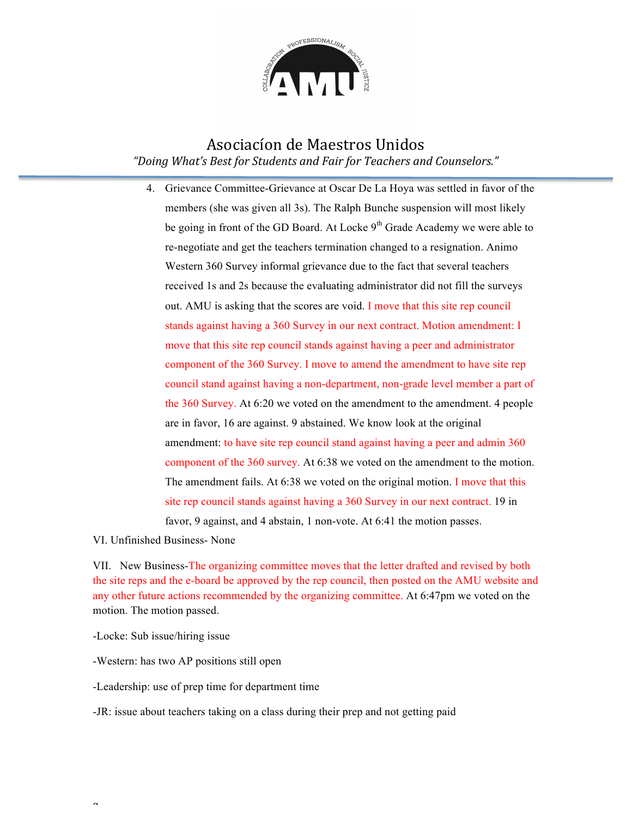

### Asociacíon de Maestros Unidos *"Doing What's Best for Students and Fair for Teachers and Counselors."*

4. Grievance Committee-Grievance at Oscar De La Hoya was settled in favor of the members (she was given all 3s). The Ralph Bunche suspension will most likely be going in front of the GD Board. At Locke  $9<sup>th</sup>$  Grade Academy we were able to re-negotiate and get the teachers termination changed to a resignation. Animo Western 360 Survey informal grievance due to the fact that several teachers received 1s and 2s because the evaluating administrator did not fill the surveys out. AMU is asking that the scores are void. I move that this site rep council stands against having a 360 Survey in our next contract. Motion amendment: I move that this site rep council stands against having a peer and administrator component of the 360 Survey. I move to amend the amendment to have site rep council stand against having a non-department, non-grade level member a part of the 360 Survey. At 6:20 we voted on the amendment to the amendment. 4 people are in favor, 16 are against. 9 abstained. We know look at the original amendment: to have site rep council stand against having a peer and admin 360 component of the 360 survey. At 6:38 we voted on the amendment to the motion. The amendment fails. At 6:38 we voted on the original motion. I move that this site rep council stands against having a 360 Survey in our next contract. 19 in favor, 9 against, and 4 abstain, 1 non-vote. At 6:41 the motion passes.

VI. Unfinished Business- None

VII. New Business-The organizing committee moves that the letter drafted and revised by both the site reps and the e-board be approved by the rep council, then posted on the AMU website and any other future actions recommended by the organizing committee. At 6:47pm we voted on the motion. The motion passed.

-Locke: Sub issue/hiring issue

 $\overline{\phantom{0}}$ 

-Western: has two AP positions still open

-Leadership: use of prep time for department time

-JR: issue about teachers taking on a class during their prep and not getting paid